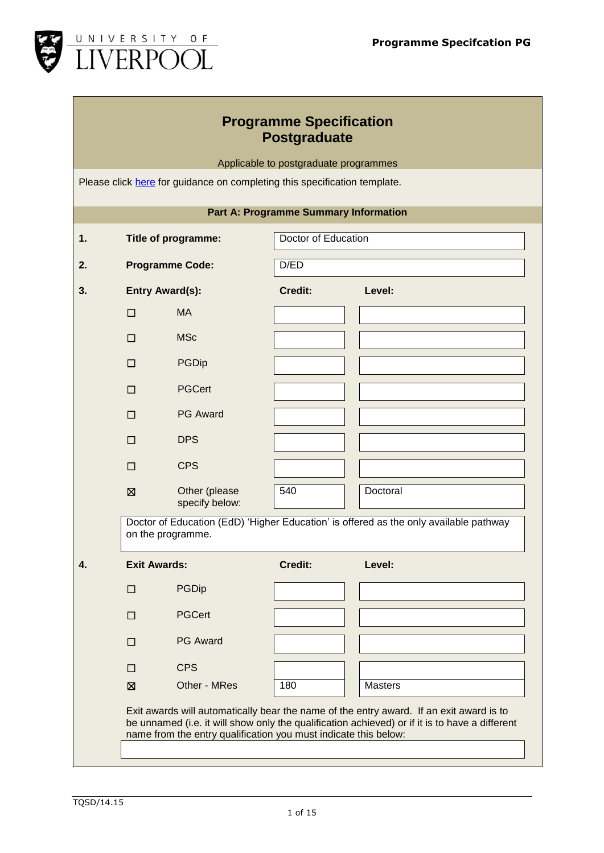

| <b>Programme Specification</b> |
|--------------------------------|
| Postgraduate                   |

Applicable to postgraduate programmes

Please click [here](http://www.liv.ac.uk/tqsd/quality-and-enhancement-framework/programme-development/programme-approval/) for guidance on completing this specification template.

|             |                        | Title of programme:             | Doctor of Education |                                                                                       |
|-------------|------------------------|---------------------------------|---------------------|---------------------------------------------------------------------------------------|
|             | <b>Programme Code:</b> |                                 | D/ED                |                                                                                       |
|             | <b>Entry Award(s):</b> |                                 | Credit:             | Level:                                                                                |
| $\Box$      |                        | <b>MA</b>                       |                     |                                                                                       |
| $\Box$      |                        | <b>MSc</b>                      |                     |                                                                                       |
| □           |                        | <b>PGDip</b>                    |                     |                                                                                       |
| $\Box$      |                        | <b>PGCert</b>                   |                     |                                                                                       |
| $\Box$      |                        | <b>PG Award</b>                 |                     |                                                                                       |
| $\Box$      |                        | <b>DPS</b>                      |                     |                                                                                       |
| П           |                        | <b>CPS</b>                      |                     |                                                                                       |
|             |                        |                                 |                     |                                                                                       |
| $\boxtimes$ |                        | Other (please<br>specify below: | 540                 | Doctoral                                                                              |
|             | on the programme.      |                                 |                     |                                                                                       |
| □           | <b>Exit Awards:</b>    | <b>PGDip</b>                    | Credit:             | Level:                                                                                |
| П           |                        | <b>PGCert</b>                   |                     | Doctor of Education (EdD) 'Higher Education' is offered as the only available pathway |
| П           |                        | <b>PG Award</b>                 |                     |                                                                                       |
| □           |                        | <b>CPS</b>                      |                     |                                                                                       |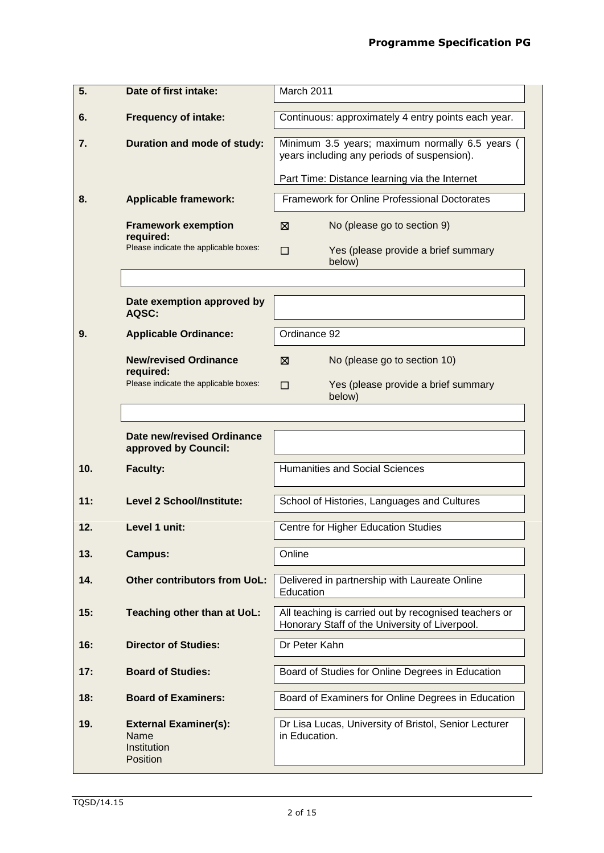| 5.  | Date of first intake:                                           | March 2011                                                                                              |
|-----|-----------------------------------------------------------------|---------------------------------------------------------------------------------------------------------|
| 6.  | <b>Frequency of intake:</b>                                     | Continuous: approximately 4 entry points each year.                                                     |
| 7.  | Duration and mode of study:                                     | Minimum 3.5 years; maximum normally 6.5 years (<br>years including any periods of suspension).          |
|     |                                                                 | Part Time: Distance learning via the Internet                                                           |
| 8.  | <b>Applicable framework:</b>                                    | Framework for Online Professional Doctorates                                                            |
|     | <b>Framework exemption</b><br>required:                         | ⊠<br>No (please go to section 9)                                                                        |
|     | Please indicate the applicable boxes:                           | Yes (please provide a brief summary<br>$\Box$<br>below)                                                 |
|     |                                                                 |                                                                                                         |
|     | Date exemption approved by<br>AQSC:                             |                                                                                                         |
| 9.  | <b>Applicable Ordinance:</b>                                    | Ordinance 92                                                                                            |
|     | <b>New/revised Ordinance</b>                                    | No (please go to section 10)<br>⊠                                                                       |
|     | required:<br>Please indicate the applicable boxes:              | Yes (please provide a brief summary<br>П<br>below)                                                      |
|     |                                                                 |                                                                                                         |
|     | Date new/revised Ordinance<br>approved by Council:              |                                                                                                         |
| 10. | <b>Faculty:</b>                                                 | <b>Humanities and Social Sciences</b>                                                                   |
| 11: | <b>Level 2 School/Institute:</b>                                | School of Histories, Languages and Cultures                                                             |
| 12. | Level 1 unit:                                                   | Centre for Higher Education Studies                                                                     |
| 13. | <b>Campus:</b>                                                  | Online                                                                                                  |
| 14. | <b>Other contributors from UoL:</b>                             | Delivered in partnership with Laureate Online<br>Education                                              |
| 15: | Teaching other than at UoL:                                     | All teaching is carried out by recognised teachers or<br>Honorary Staff of the University of Liverpool. |
| 16: | <b>Director of Studies:</b>                                     | Dr Peter Kahn                                                                                           |
| 17: | <b>Board of Studies:</b>                                        | Board of Studies for Online Degrees in Education                                                        |
| 18: | <b>Board of Examiners:</b>                                      | Board of Examiners for Online Degrees in Education                                                      |
| 19. | <b>External Examiner(s):</b><br>Name<br>Institution<br>Position | Dr Lisa Lucas, University of Bristol, Senior Lecturer<br>in Education.                                  |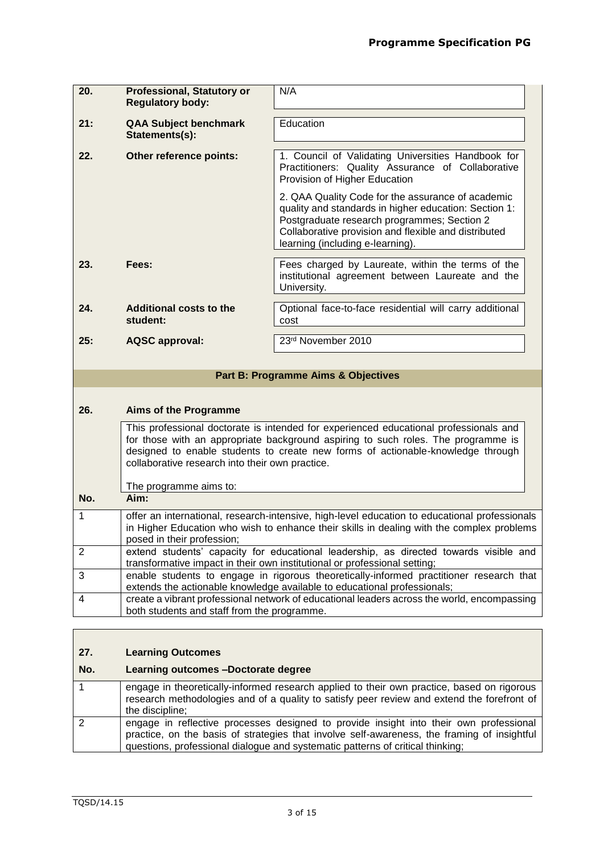| 20.            | <b>Professional, Statutory or</b><br><b>Regulatory body:</b> | N/A                                                                                                                                                                                                                                                           |
|----------------|--------------------------------------------------------------|---------------------------------------------------------------------------------------------------------------------------------------------------------------------------------------------------------------------------------------------------------------|
| 21:            | <b>QAA Subject benchmark</b><br>Statements(s):               | Education                                                                                                                                                                                                                                                     |
| 22.            | Other reference points:                                      | 1. Council of Validating Universities Handbook for<br>Practitioners: Quality Assurance of Collaborative<br>Provision of Higher Education                                                                                                                      |
|                |                                                              | 2. QAA Quality Code for the assurance of academic<br>quality and standards in higher education: Section 1:<br>Postgraduate research programmes; Section 2<br>Collaborative provision and flexible and distributed<br>learning (including e-learning).         |
| 23.            | Fees:                                                        | Fees charged by Laureate, within the terms of the<br>institutional agreement between Laureate and the<br>University.                                                                                                                                          |
| 24.            | Additional costs to the<br>student:                          | Optional face-to-face residential will carry additional<br>cost                                                                                                                                                                                               |
| 25:            | <b>AQSC approval:</b>                                        | 23rd November 2010                                                                                                                                                                                                                                            |
|                |                                                              | <b>Part B: Programme Aims &amp; Objectives</b>                                                                                                                                                                                                                |
| 26.            | <b>Aims of the Programme</b>                                 |                                                                                                                                                                                                                                                               |
|                | collaborative research into their own practice.              | This professional doctorate is intended for experienced educational professionals and<br>for those with an appropriate background aspiring to such roles. The programme is<br>designed to enable students to create new forms of actionable-knowledge through |
| No.            | The programme aims to:<br>Aim:                               |                                                                                                                                                                                                                                                               |
| 1              |                                                              | offer an international, research-intensive, high-level education to educational professionals                                                                                                                                                                 |
|                | posed in their profession;                                   | in Higher Education who wish to enhance their skills in dealing with the complex problems                                                                                                                                                                     |
| $\overline{2}$ |                                                              | extend students' capacity for educational leadership, as directed towards visible and<br>transformative impact in their own institutional or professional setting;                                                                                            |
| 3              |                                                              | enable students to engage in rigorous theoretically-informed practitioner research that<br>extends the actionable knowledge available to educational professionals;                                                                                           |
| 4              | both students and staff from the programme.                  | create a vibrant professional network of educational leaders across the world, encompassing                                                                                                                                                                   |
|                |                                                              |                                                                                                                                                                                                                                                               |

# **27. Learning Outcomes**

# **No. Learning outcomes –Doctorate degree** 1 engage in theoretically-informed research applied to their own practice, based on rigorous research methodologies and of a quality to satisfy peer review and extend the forefront of the discipline; 2 engage in reflective processes designed to provide insight into their own professional practice, on the basis of strategies that involve self-awareness, the framing of insightful questions, professional dialogue and systematic patterns of critical thinking;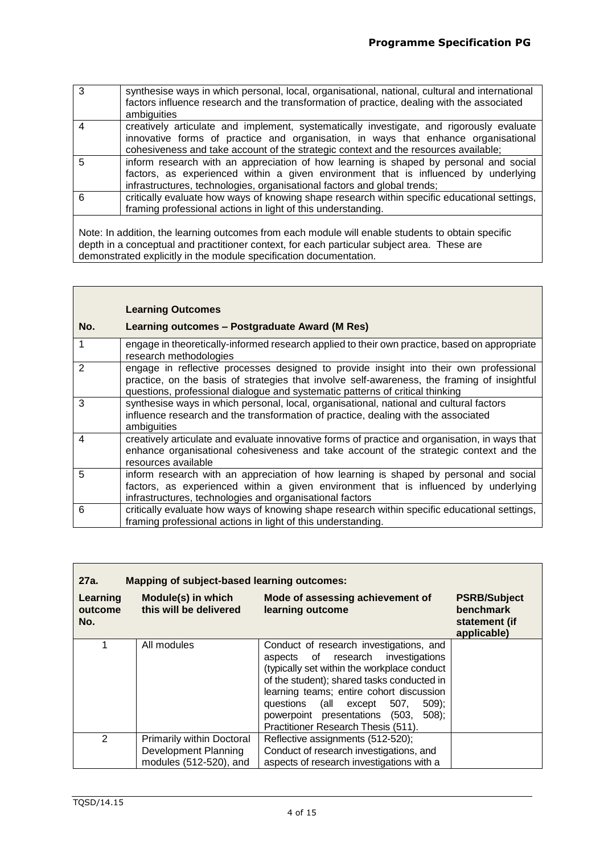| 3 | synthesise ways in which personal, local, organisational, national, cultural and international<br>factors influence research and the transformation of practice, dealing with the associated<br>ambiguities                                                           |
|---|-----------------------------------------------------------------------------------------------------------------------------------------------------------------------------------------------------------------------------------------------------------------------|
|   | creatively articulate and implement, systematically investigate, and rigorously evaluate<br>innovative forms of practice and organisation, in ways that enhance organisational<br>cohesiveness and take account of the strategic context and the resources available; |
| 5 | inform research with an appreciation of how learning is shaped by personal and social<br>factors, as experienced within a given environment that is influenced by underlying<br>infrastructures, technologies, organisational factors and global trends;              |
| 6 | critically evaluate how ways of knowing shape research within specific educational settings,<br>framing professional actions in light of this understanding.                                                                                                          |
|   |                                                                                                                                                                                                                                                                       |

Note: In addition, the learning outcomes from each module will enable students to obtain specific depth in a conceptual and practitioner context, for each particular subject area. These are demonstrated explicitly in the module specification documentation.

|     | <b>Learning Outcomes</b>                                                                                                                                                                                                                                               |
|-----|------------------------------------------------------------------------------------------------------------------------------------------------------------------------------------------------------------------------------------------------------------------------|
| No. | Learning outcomes - Postgraduate Award (M Res)                                                                                                                                                                                                                         |
| 1   | engage in theoretically-informed research applied to their own practice, based on appropriate<br>research methodologies                                                                                                                                                |
| 2   | engage in reflective processes designed to provide insight into their own professional<br>practice, on the basis of strategies that involve self-awareness, the framing of insightful<br>questions, professional dialogue and systematic patterns of critical thinking |
| 3   | synthesise ways in which personal, local, organisational, national and cultural factors<br>influence research and the transformation of practice, dealing with the associated<br>ambiguities                                                                           |
| 4   | creatively articulate and evaluate innovative forms of practice and organisation, in ways that<br>enhance organisational cohesiveness and take account of the strategic context and the<br>resources available                                                         |
| 5   | inform research with an appreciation of how learning is shaped by personal and social<br>factors, as experienced within a given environment that is influenced by underlying<br>infrastructures, technologies and organisational factors                               |
| 6   | critically evaluate how ways of knowing shape research within specific educational settings,<br>framing professional actions in light of this understanding.                                                                                                           |

| 27a.                       | Mapping of subject-based learning outcomes:                                 |                                                                                                                                                                                                                                                                                                                                                        |                                                                  |
|----------------------------|-----------------------------------------------------------------------------|--------------------------------------------------------------------------------------------------------------------------------------------------------------------------------------------------------------------------------------------------------------------------------------------------------------------------------------------------------|------------------------------------------------------------------|
| Learning<br>outcome<br>No. | Module(s) in which<br>this will be delivered                                | Mode of assessing achievement of<br>learning outcome                                                                                                                                                                                                                                                                                                   | <b>PSRB/Subject</b><br>benchmark<br>statement (if<br>applicable) |
|                            | All modules                                                                 | Conduct of research investigations, and<br>aspects of research<br>investigations<br>(typically set within the workplace conduct<br>of the student); shared tasks conducted in<br>learning teams; entire cohort discussion<br>questions (all except 507,<br>$509$ :<br>powerpoint presentations (503,<br>$508$ ;<br>Practitioner Research Thesis (511). |                                                                  |
| $\mathcal{P}$              | Primarily within Doctoral<br>Development Planning<br>modules (512-520), and | Reflective assignments (512-520);<br>Conduct of research investigations, and<br>aspects of research investigations with a                                                                                                                                                                                                                              |                                                                  |

Г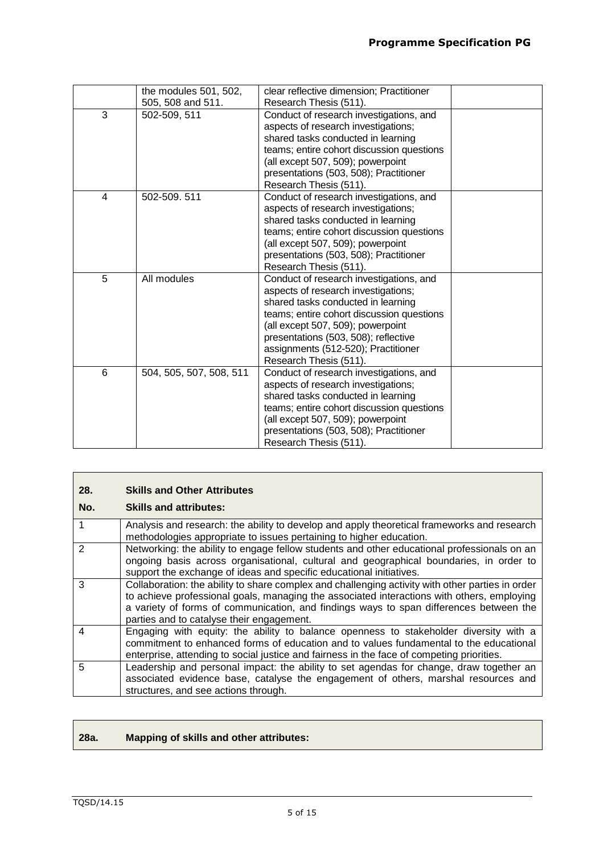$\overline{\phantom{0}}$ 

|   | the modules 501, 502,   | clear reflective dimension; Practitioner                                       |  |
|---|-------------------------|--------------------------------------------------------------------------------|--|
|   | 505, 508 and 511.       | Research Thesis (511).                                                         |  |
| 3 | 502-509, 511            | Conduct of research investigations, and<br>aspects of research investigations; |  |
|   |                         | shared tasks conducted in learning                                             |  |
|   |                         | teams; entire cohort discussion questions<br>(all except 507, 509); powerpoint |  |
|   |                         | presentations (503, 508); Practitioner                                         |  |
|   |                         | Research Thesis (511).                                                         |  |
| 4 | 502-509.511             | Conduct of research investigations, and                                        |  |
|   |                         | aspects of research investigations;                                            |  |
|   |                         | shared tasks conducted in learning                                             |  |
|   |                         | teams; entire cohort discussion questions                                      |  |
|   |                         | (all except 507, 509); powerpoint                                              |  |
|   |                         | presentations (503, 508); Practitioner                                         |  |
|   |                         | Research Thesis (511).                                                         |  |
| 5 | All modules             | Conduct of research investigations, and                                        |  |
|   |                         | aspects of research investigations;                                            |  |
|   |                         | shared tasks conducted in learning                                             |  |
|   |                         | teams; entire cohort discussion questions                                      |  |
|   |                         | (all except 507, 509); powerpoint                                              |  |
|   |                         | presentations (503, 508); reflective                                           |  |
|   |                         | assignments (512-520); Practitioner                                            |  |
|   |                         | Research Thesis (511).                                                         |  |
| 6 | 504, 505, 507, 508, 511 | Conduct of research investigations, and                                        |  |
|   |                         | aspects of research investigations;                                            |  |
|   |                         | shared tasks conducted in learning                                             |  |
|   |                         | teams; entire cohort discussion questions                                      |  |
|   |                         | (all except 507, 509); powerpoint                                              |  |
|   |                         | presentations (503, 508); Practitioner                                         |  |
|   |                         | Research Thesis (511).                                                         |  |

| 28.           | <b>Skills and Other Attributes</b>                                                                                                                                                                                                                                                                                                    |
|---------------|---------------------------------------------------------------------------------------------------------------------------------------------------------------------------------------------------------------------------------------------------------------------------------------------------------------------------------------|
| No.           | <b>Skills and attributes:</b>                                                                                                                                                                                                                                                                                                         |
|               | Analysis and research: the ability to develop and apply theoretical frameworks and research<br>methodologies appropriate to issues pertaining to higher education.                                                                                                                                                                    |
| $\mathcal{P}$ | Networking: the ability to engage fellow students and other educational professionals on an<br>ongoing basis across organisational, cultural and geographical boundaries, in order to<br>support the exchange of ideas and specific educational initiatives.                                                                          |
| 3             | Collaboration: the ability to share complex and challenging activity with other parties in order<br>to achieve professional goals, managing the associated interactions with others, employing<br>a variety of forms of communication, and findings ways to span differences between the<br>parties and to catalyse their engagement. |
| 4             | Engaging with equity: the ability to balance openness to stakeholder diversity with a<br>commitment to enhanced forms of education and to values fundamental to the educational<br>enterprise, attending to social justice and fairness in the face of competing priorities.                                                          |
| 5             | Leadership and personal impact: the ability to set agendas for change, draw together an<br>associated evidence base, catalyse the engagement of others, marshal resources and<br>structures, and see actions through.                                                                                                                 |

# **28a. Mapping of skills and other attributes:**

 $\mathbf{r}$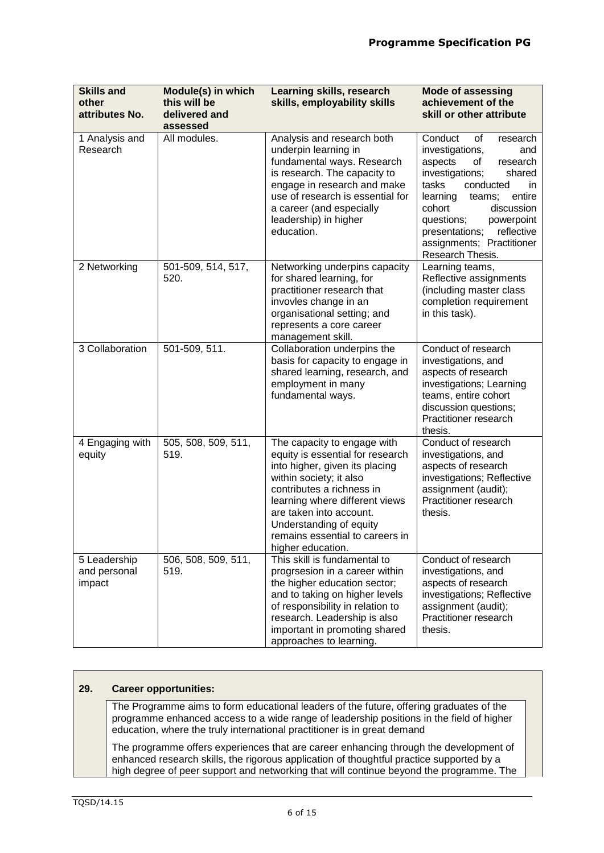| <b>Skills and</b><br>other<br>attributes No. | Module(s) in which<br>this will be<br>delivered and<br>assessed | Learning skills, research<br>skills, employability skills                                                                                                                                                                                                                                                 | <b>Mode of assessing</b><br>achievement of the<br>skill or other attribute                                                                                                                                                                                                                                      |
|----------------------------------------------|-----------------------------------------------------------------|-----------------------------------------------------------------------------------------------------------------------------------------------------------------------------------------------------------------------------------------------------------------------------------------------------------|-----------------------------------------------------------------------------------------------------------------------------------------------------------------------------------------------------------------------------------------------------------------------------------------------------------------|
| 1 Analysis and<br>Research                   | All modules.                                                    | Analysis and research both<br>underpin learning in<br>fundamental ways. Research<br>is research. The capacity to<br>engage in research and make<br>use of research is essential for<br>a career (and especially<br>leadership) in higher<br>education.                                                    | Conduct<br>οf<br>research<br>investigations,<br>and<br>aspects<br>of<br>research<br>investigations;<br>shared<br>tasks<br>conducted<br>in.<br>entire<br>learning<br>teams;<br>discussion<br>cohort<br>questions;<br>powerpoint<br>reflective<br>presentations;<br>assignments; Practitioner<br>Research Thesis. |
| 2 Networking                                 | 501-509, 514, 517,<br>520.                                      | Networking underpins capacity<br>for shared learning, for<br>practitioner research that<br>invovles change in an<br>organisational setting; and<br>represents a core career<br>management skill.                                                                                                          | Learning teams,<br>Reflective assignments<br>(including master class<br>completion requirement<br>in this task).                                                                                                                                                                                                |
| 3 Collaboration                              | 501-509, 511.                                                   | Collaboration underpins the<br>basis for capacity to engage in<br>shared learning, research, and<br>employment in many<br>fundamental ways.                                                                                                                                                               | Conduct of research<br>investigations, and<br>aspects of research<br>investigations; Learning<br>teams, entire cohort<br>discussion questions;<br>Practitioner research<br>thesis.                                                                                                                              |
| 4 Engaging with<br>equity                    | 505, 508, 509, 511,<br>519.                                     | The capacity to engage with<br>equity is essential for research<br>into higher, given its placing<br>within society; it also<br>contributes a richness in<br>learning where different views<br>are taken into account.<br>Understanding of equity<br>remains essential to careers in<br>higher education. | Conduct of research<br>investigations, and<br>aspects of research<br>investigations; Reflective<br>assignment (audit);<br>Practitioner research<br>thesis.                                                                                                                                                      |
| 5 Leadership<br>and personal<br>impact       | 506, 508, 509, 511,<br>519.                                     | This skill is fundamental to<br>progrsesion in a career within<br>the higher education sector;<br>and to taking on higher levels<br>of responsibility in relation to<br>research. Leadership is also<br>important in promoting shared<br>approaches to learning.                                          | Conduct of research<br>investigations, and<br>aspects of research<br>investigations; Reflective<br>assignment (audit);<br>Practitioner research<br>thesis.                                                                                                                                                      |

# **29. Career opportunities:**

The Programme aims to form educational leaders of the future, offering graduates of the programme enhanced access to a wide range of leadership positions in the field of higher education, where the truly international practitioner is in great demand

The programme offers experiences that are career enhancing through the development of enhanced research skills, the rigorous application of thoughtful practice supported by a high degree of peer support and networking that will continue beyond the programme. The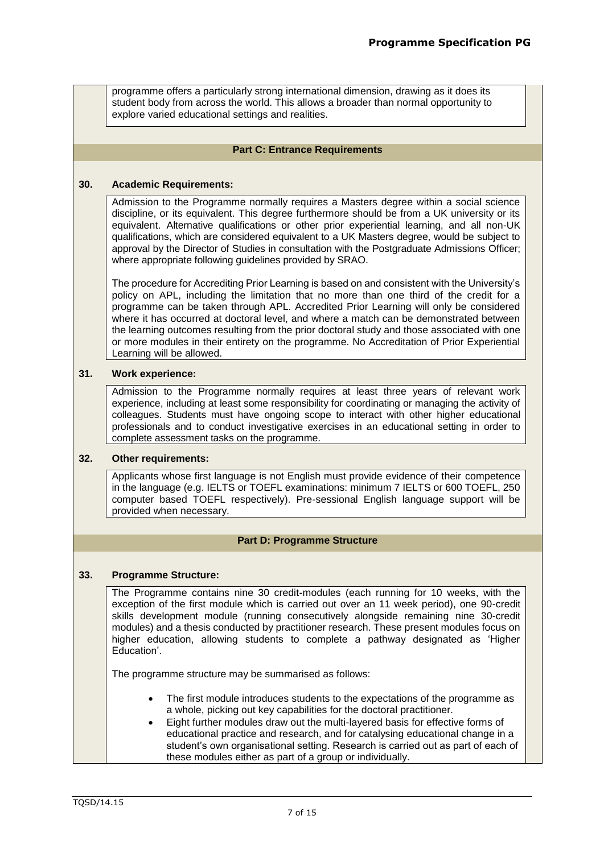| programme offers a particularly strong international dimension, drawing as it does its |
|----------------------------------------------------------------------------------------|
| student body from across the world. This allows a broader than normal opportunity to   |
| explore varied educational settings and realities.                                     |

### **Part C: Entrance Requirements**

#### **30. Academic Requirements:**

Admission to the Programme normally requires a Masters degree within a social science discipline, or its equivalent. This degree furthermore should be from a UK university or its equivalent. Alternative qualifications or other prior experiential learning, and all non-UK qualifications, which are considered equivalent to a UK Masters degree, would be subject to approval by the Director of Studies in consultation with the Postgraduate Admissions Officer; where appropriate following guidelines provided by SRAO.

The procedure for Accrediting Prior Learning is based on and consistent with the University's policy on APL, including the limitation that no more than one third of the credit for a programme can be taken through APL. Accredited Prior Learning will only be considered where it has occurred at doctoral level, and where a match can be demonstrated between the learning outcomes resulting from the prior doctoral study and those associated with one or more modules in their entirety on the programme. No Accreditation of Prior Experiential Learning will be allowed.

## **31. Work experience:**

Admission to the Programme normally requires at least three years of relevant work experience, including at least some responsibility for coordinating or managing the activity of colleagues. Students must have ongoing scope to interact with other higher educational professionals and to conduct investigative exercises in an educational setting in order to complete assessment tasks on the programme.

#### **32. Other requirements:**

Applicants whose first language is not English must provide evidence of their competence in the language (e.g. IELTS or TOEFL examinations: minimum 7 IELTS or 600 TOEFL, 250 computer based TOEFL respectively). Pre-sessional English language support will be provided when necessary.

# **Part D: Programme Structure**

# **33. Programme Structure:**

The Programme contains nine 30 credit-modules (each running for 10 weeks, with the exception of the first module which is carried out over an 11 week period), one 90-credit skills development module (running consecutively alongside remaining nine 30-credit modules) and a thesis conducted by practitioner research. These present modules focus on higher education, allowing students to complete a pathway designated as 'Higher Education'.

The programme structure may be summarised as follows:

- The first module introduces students to the expectations of the programme as a whole, picking out key capabilities for the doctoral practitioner.
- Eight further modules draw out the multi-layered basis for effective forms of educational practice and research, and for catalysing educational change in a student's own organisational setting. Research is carried out as part of each of these modules either as part of a group or individually.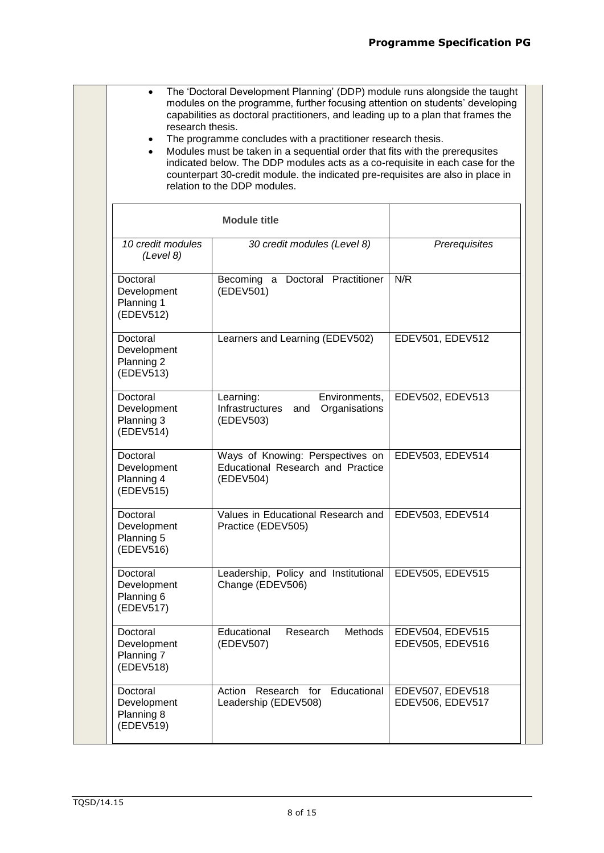• The 'Doctoral Development Planning' (DDP) module runs alongside the taught modules on the programme, further focusing attention on students' developing capabilities as doctoral practitioners, and leading up to a plan that frames the research thesis. The programme concludes with a practitioner research thesis. • Modules must be taken in a sequential order that fits with the prerequsites indicated below. The DDP modules acts as a co-requisite in each case for the counterpart 30-credit module. the indicated pre-requisites are also in place in relation to the DDP modules. **Module title** *10 credit modules (Level 8) 30 credit modules (Level 8) Prerequisites* Doctoral Development Planning 1 (EDEV512) Becoming a Doctoral Practitioner (EDEV501) N/R Doctoral Development Planning 2 (EDEV513) Learners and Learning (EDEV502) | EDEV501, EDEV512 **Doctoral** Development Planning 3 (EDEV514) Learning: Environments, Infrastructures and Organisations (EDEV503) EDEV502, EDEV513 Doctoral Development Planning 4 (EDEV515) Ways of Knowing: Perspectives on Educational Research and Practice (EDEV504) EDEV503, EDEV514 Doctoral Development Planning 5 (EDEV516) Values in Educational Research and Practice (EDEV505) EDEV503, EDEV514 **Doctoral Development** Planning 6 (EDEV517) Leadership, Policy and Institutional Change (EDEV506) EDEV505, EDEV515 Doctoral Development Planning 7 (EDEV518) Educational Research Methods (EDEV507) EDEV504, EDEV515 EDEV505, EDEV516 Doctoral Development Planning 8 (EDEV519) Action Research for Educational Leadership (EDEV508) EDEV507, EDEV518 EDEV506, EDEV517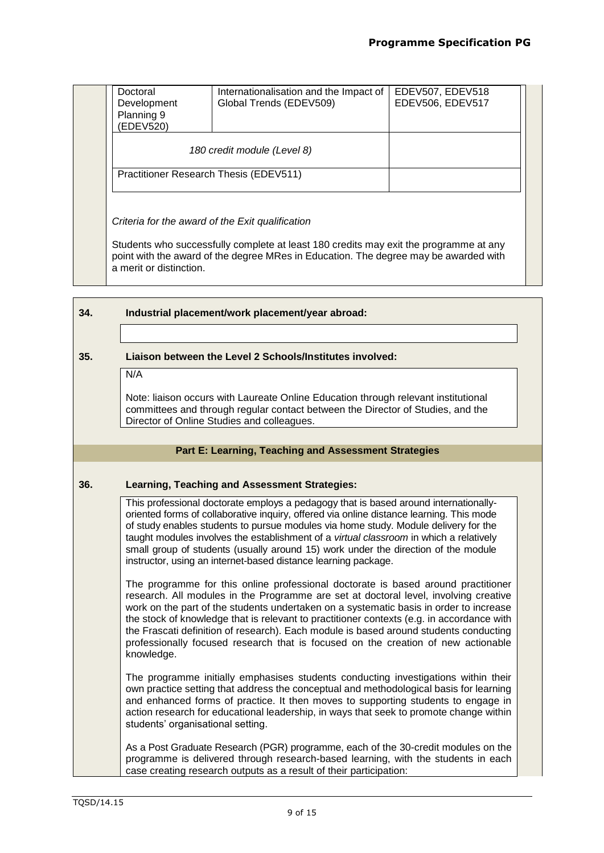| EDEV506, EDEV517 | Internationalisation and the Impact of<br>Global Trends (EDEV509) | Doctoral<br>Development<br>Planning 9<br>(EDEV520) |
|------------------|-------------------------------------------------------------------|----------------------------------------------------|
|                  | 180 credit module (Level 8)                                       |                                                    |
|                  |                                                                   | Practitioner Research Thesis (EDEV511)             |
|                  |                                                                   |                                                    |

Students who successfully complete at least 180 credits may exit the programme at any point with the award of the degree MRes in Education. The degree may be awarded with a merit or distinction.

| 34. | Industrial placement/work placement/year abroad:                       |  |
|-----|------------------------------------------------------------------------|--|
|     |                                                                        |  |
| 35. | Liaison between the Level 2 Schools/Institutes involved:<br><b>AIA</b> |  |

N/A

Note: liaison occurs with Laureate Online Education through relevant institutional committees and through regular contact between the Director of Studies, and the Director of Online Studies and colleagues.

# **Part E: Learning, Teaching and Assessment Strategies**

# **36. Learning, Teaching and Assessment Strategies:**

This professional doctorate employs a pedagogy that is based around internationallyoriented forms of collaborative inquiry, offered via online distance learning. This mode of study enables students to pursue modules via home study. Module delivery for the taught modules involves the establishment of a *virtual classroom* in which a relatively small group of students (usually around 15) work under the direction of the module instructor, using an internet-based distance learning package.

The programme for this online professional doctorate is based around practitioner research. All modules in the Programme are set at doctoral level, involving creative work on the part of the students undertaken on a systematic basis in order to increase the stock of knowledge that is relevant to practitioner contexts (e.g. in accordance with the Frascati definition of research). Each module is based around students conducting professionally focused research that is focused on the creation of new actionable knowledge.

The programme initially emphasises students conducting investigations within their own practice setting that address the conceptual and methodological basis for learning and enhanced forms of practice. It then moves to supporting students to engage in action research for educational leadership, in ways that seek to promote change within students' organisational setting.

As a Post Graduate Research (PGR) programme, each of the 30-credit modules on the programme is delivered through research-based learning, with the students in each case creating research outputs as a result of their participation: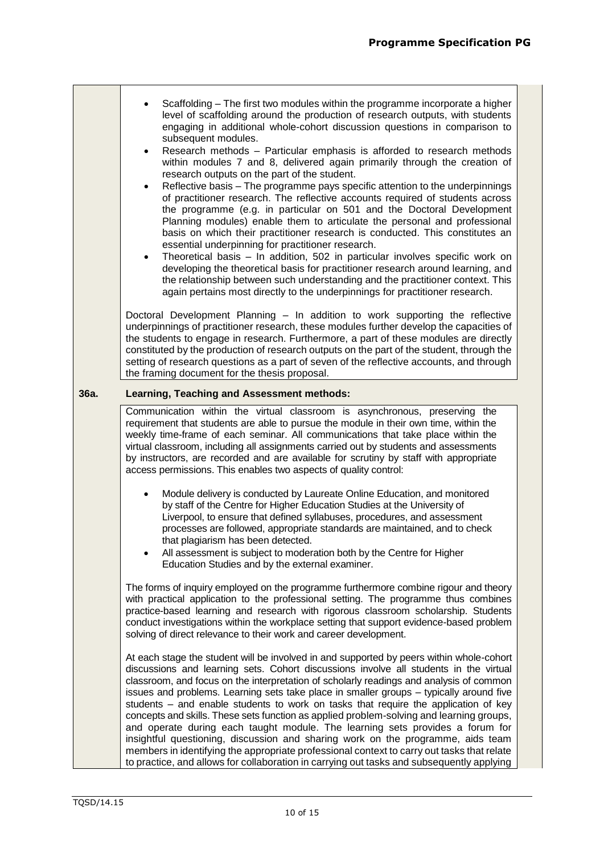|      | Scaffolding – The first two modules within the programme incorporate a higher<br>$\bullet$<br>level of scaffolding around the production of research outputs, with students<br>engaging in additional whole-cohort discussion questions in comparison to<br>subsequent modules.<br>Research methods - Particular emphasis is afforded to research methods<br>$\bullet$<br>within modules 7 and 8, delivered again primarily through the creation of<br>research outputs on the part of the student.<br>Reflective basis - The programme pays specific attention to the underpinnings<br>$\bullet$<br>of practitioner research. The reflective accounts required of students across<br>the programme (e.g. in particular on 501 and the Doctoral Development<br>Planning modules) enable them to articulate the personal and professional<br>basis on which their practitioner research is conducted. This constitutes an<br>essential underpinning for practitioner research.<br>Theoretical basis - In addition, 502 in particular involves specific work on<br>$\bullet$<br>developing the theoretical basis for practitioner research around learning, and<br>the relationship between such understanding and the practitioner context. This<br>again pertains most directly to the underpinnings for practitioner research. |  |  |  |  |  |
|------|---------------------------------------------------------------------------------------------------------------------------------------------------------------------------------------------------------------------------------------------------------------------------------------------------------------------------------------------------------------------------------------------------------------------------------------------------------------------------------------------------------------------------------------------------------------------------------------------------------------------------------------------------------------------------------------------------------------------------------------------------------------------------------------------------------------------------------------------------------------------------------------------------------------------------------------------------------------------------------------------------------------------------------------------------------------------------------------------------------------------------------------------------------------------------------------------------------------------------------------------------------------------------------------------------------------------------------|--|--|--|--|--|
|      | Doctoral Development Planning - In addition to work supporting the reflective<br>underpinnings of practitioner research, these modules further develop the capacities of<br>the students to engage in research. Furthermore, a part of these modules are directly<br>constituted by the production of research outputs on the part of the student, through the<br>setting of research questions as a part of seven of the reflective accounts, and through<br>the framing document for the thesis proposal.                                                                                                                                                                                                                                                                                                                                                                                                                                                                                                                                                                                                                                                                                                                                                                                                                     |  |  |  |  |  |
| 36a. | Learning, Teaching and Assessment methods:                                                                                                                                                                                                                                                                                                                                                                                                                                                                                                                                                                                                                                                                                                                                                                                                                                                                                                                                                                                                                                                                                                                                                                                                                                                                                      |  |  |  |  |  |
|      | Communication within the virtual classroom is asynchronous, preserving the<br>requirement that students are able to pursue the module in their own time, within the<br>weekly time-frame of each seminar. All communications that take place within the<br>virtual classroom, including all assignments carried out by students and assessments<br>by instructors, are recorded and are available for scrutiny by staff with appropriate<br>access permissions. This enables two aspects of quality control:                                                                                                                                                                                                                                                                                                                                                                                                                                                                                                                                                                                                                                                                                                                                                                                                                    |  |  |  |  |  |
|      | Module delivery is conducted by Laureate Online Education, and monitored<br>$\bullet$<br>by staff of the Centre for Higher Education Studies at the University of<br>Liverpool, to ensure that defined syllabuses, procedures, and assessment<br>processes are followed, appropriate standards are maintained, and to check<br>that plagiarism has been detected.<br>All assessment is subject to moderation both by the Centre for Higher<br>Education Studies and by the external examiner.                                                                                                                                                                                                                                                                                                                                                                                                                                                                                                                                                                                                                                                                                                                                                                                                                                   |  |  |  |  |  |
|      | The forms of inquiry employed on the programme furthermore combine rigour and theory<br>with practical application to the professional setting. The programme thus combines<br>practice-based learning and research with rigorous classroom scholarship. Students<br>conduct investigations within the workplace setting that support evidence-based problem<br>solving of direct relevance to their work and career development.                                                                                                                                                                                                                                                                                                                                                                                                                                                                                                                                                                                                                                                                                                                                                                                                                                                                                               |  |  |  |  |  |
|      | At each stage the student will be involved in and supported by peers within whole-cohort<br>discussions and learning sets. Cohort discussions involve all students in the virtual<br>classroom, and focus on the interpretation of scholarly readings and analysis of common<br>issues and problems. Learning sets take place in smaller groups - typically around five<br>students – and enable students to work on tasks that require the application of key<br>concepts and skills. These sets function as applied problem-solving and learning groups,<br>and operate during each taught module. The learning sets provides a forum for<br>insightful questioning, discussion and sharing work on the programme, aids team<br>members in identifying the appropriate professional context to carry out tasks that relate<br>to practice, and allows for collaboration in carrying out tasks and subsequently applying                                                                                                                                                                                                                                                                                                                                                                                                       |  |  |  |  |  |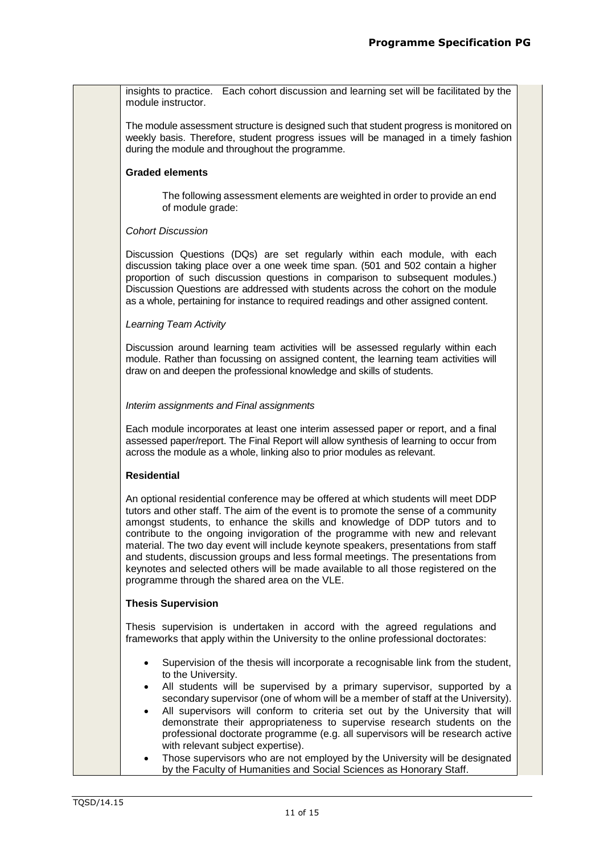insights to practice. Each cohort discussion and learning set will be facilitated by the module instructor.

The module assessment structure is designed such that student progress is monitored on weekly basis. Therefore, student progress issues will be managed in a timely fashion during the module and throughout the programme.

## **Graded elements**

The following assessment elements are weighted in order to provide an end of module grade:

#### *Cohort Discussion*

Discussion Questions (DQs) are set regularly within each module, with each discussion taking place over a one week time span. (501 and 502 contain a higher proportion of such discussion questions in comparison to subsequent modules.) Discussion Questions are addressed with students across the cohort on the module as a whole, pertaining for instance to required readings and other assigned content.

#### *Learning Team Activity*

Discussion around learning team activities will be assessed regularly within each module. Rather than focussing on assigned content, the learning team activities will draw on and deepen the professional knowledge and skills of students.

#### *Interim assignments and Final assignments*

Each module incorporates at least one interim assessed paper or report, and a final assessed paper/report. The Final Report will allow synthesis of learning to occur from across the module as a whole, linking also to prior modules as relevant.

#### **Residential**

An optional residential conference may be offered at which students will meet DDP tutors and other staff. The aim of the event is to promote the sense of a community amongst students, to enhance the skills and knowledge of DDP tutors and to contribute to the ongoing invigoration of the programme with new and relevant material. The two day event will include keynote speakers, presentations from staff and students, discussion groups and less formal meetings. The presentations from keynotes and selected others will be made available to all those registered on the programme through the shared area on the VLE.

#### **Thesis Supervision**

Thesis supervision is undertaken in accord with the agreed regulations and frameworks that apply within the University to the online professional doctorates:

- Supervision of the thesis will incorporate a recognisable link from the student, to the University.
- All students will be supervised by a primary supervisor, supported by a secondary supervisor (one of whom will be a member of staff at the University).
- All supervisors will conform to criteria set out by the University that will demonstrate their appropriateness to supervise research students on the professional doctorate programme (e.g. all supervisors will be research active with relevant subject expertise).
- Those supervisors who are not employed by the University will be designated by the Faculty of Humanities and Social Sciences as Honorary Staff.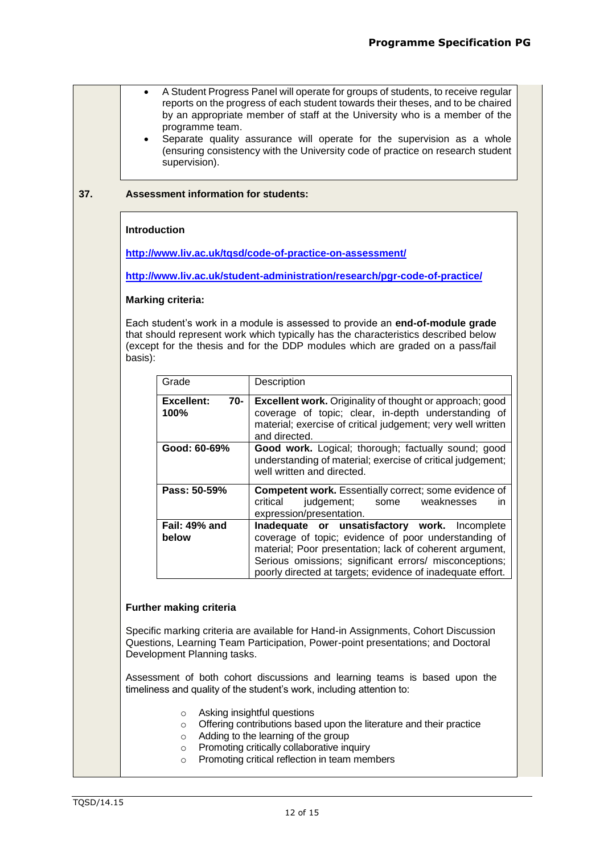|     | A Student Progress Panel will operate for groups of students, to receive regular<br>$\bullet$<br>reports on the progress of each student towards their theses, and to be chaired<br>by an appropriate member of staff at the University who is a member of the<br>programme team.<br>Separate quality assurance will operate for the supervision as a whole<br>$\bullet$<br>(ensuring consistency with the University code of practice on research student<br>supervision). |                                             |                                                                                                                                                                                                                                                                                          |  |  |  |
|-----|-----------------------------------------------------------------------------------------------------------------------------------------------------------------------------------------------------------------------------------------------------------------------------------------------------------------------------------------------------------------------------------------------------------------------------------------------------------------------------|---------------------------------------------|------------------------------------------------------------------------------------------------------------------------------------------------------------------------------------------------------------------------------------------------------------------------------------------|--|--|--|
| 37. |                                                                                                                                                                                                                                                                                                                                                                                                                                                                             | <b>Assessment information for students:</b> |                                                                                                                                                                                                                                                                                          |  |  |  |
|     | <b>Introduction</b>                                                                                                                                                                                                                                                                                                                                                                                                                                                         |                                             |                                                                                                                                                                                                                                                                                          |  |  |  |
|     | http://www.liv.ac.uk/tgsd/code-of-practice-on-assessment/<br>http://www.liv.ac.uk/student-administration/research/pgr-code-of-practice/                                                                                                                                                                                                                                                                                                                                     |                                             |                                                                                                                                                                                                                                                                                          |  |  |  |
|     |                                                                                                                                                                                                                                                                                                                                                                                                                                                                             |                                             |                                                                                                                                                                                                                                                                                          |  |  |  |
|     |                                                                                                                                                                                                                                                                                                                                                                                                                                                                             | <b>Marking criteria:</b>                    |                                                                                                                                                                                                                                                                                          |  |  |  |
|     | basis):                                                                                                                                                                                                                                                                                                                                                                                                                                                                     |                                             | Each student's work in a module is assessed to provide an end-of-module grade<br>that should represent work which typically has the characteristics described below<br>(except for the thesis and for the DDP modules which are graded on a pass/fail                                    |  |  |  |
|     |                                                                                                                                                                                                                                                                                                                                                                                                                                                                             | Grade                                       | Description                                                                                                                                                                                                                                                                              |  |  |  |
|     |                                                                                                                                                                                                                                                                                                                                                                                                                                                                             | <b>Excellent:</b><br>70-<br>100%            | <b>Excellent work.</b> Originality of thought or approach; good<br>coverage of topic; clear, in-depth understanding of<br>material; exercise of critical judgement; very well written<br>and directed.                                                                                   |  |  |  |
|     |                                                                                                                                                                                                                                                                                                                                                                                                                                                                             | Good: 60-69%                                | Good work. Logical; thorough; factually sound; good<br>understanding of material; exercise of critical judgement;<br>well written and directed.                                                                                                                                          |  |  |  |
|     |                                                                                                                                                                                                                                                                                                                                                                                                                                                                             | Pass: 50-59%                                | Competent work. Essentially correct; some evidence of<br>critical<br>judgement;<br>some<br>weaknesses<br>in.<br>expression/presentation.                                                                                                                                                 |  |  |  |
|     |                                                                                                                                                                                                                                                                                                                                                                                                                                                                             | Fail: 49% and<br>below                      | Inadequate or unsatisfactory work. Incomplete<br>coverage of topic; evidence of poor understanding of<br>material; Poor presentation; lack of coherent argument,<br>Serious omissions; significant errors/ misconceptions;<br>poorly directed at targets; evidence of inadequate effort. |  |  |  |
|     |                                                                                                                                                                                                                                                                                                                                                                                                                                                                             | Further making criteria                     |                                                                                                                                                                                                                                                                                          |  |  |  |
|     |                                                                                                                                                                                                                                                                                                                                                                                                                                                                             | Development Planning tasks.                 | Specific marking criteria are available for Hand-in Assignments, Cohort Discussion<br>Questions, Learning Team Participation, Power-point presentations; and Doctoral                                                                                                                    |  |  |  |
|     |                                                                                                                                                                                                                                                                                                                                                                                                                                                                             |                                             | Assessment of both cohort discussions and learning teams is based upon the<br>timeliness and quality of the student's work, including attention to:                                                                                                                                      |  |  |  |
|     |                                                                                                                                                                                                                                                                                                                                                                                                                                                                             | $\circ$<br>$\circ$<br>$\circ$<br>$\circ$    | Asking insightful questions<br>Offering contributions based upon the literature and their practice<br>Adding to the learning of the group<br>Promoting critically collaborative inquiry                                                                                                  |  |  |  |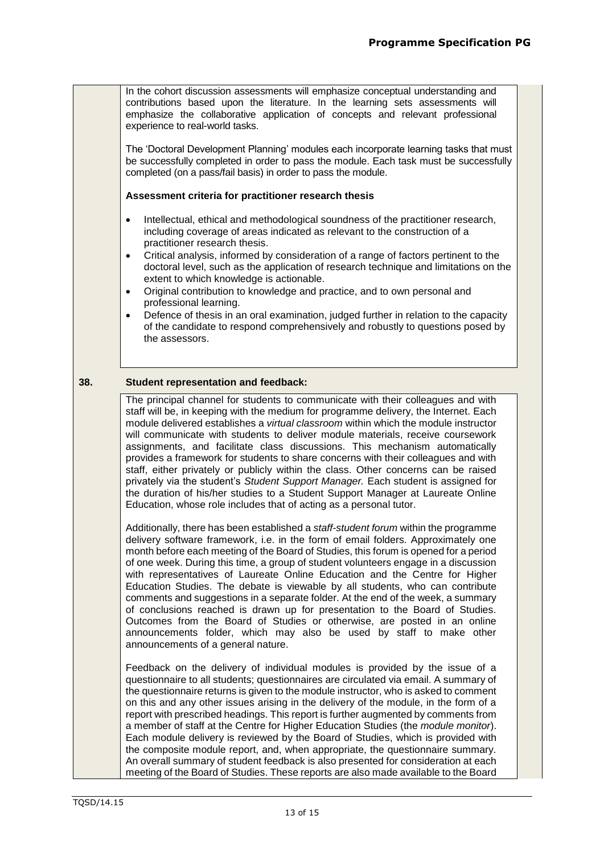In the cohort discussion assessments will emphasize conceptual understanding and contributions based upon the literature. In the learning sets assessments will emphasize the collaborative application of concepts and relevant professional experience to real-world tasks.

The 'Doctoral Development Planning' modules each incorporate learning tasks that must be successfully completed in order to pass the module. Each task must be successfully completed (on a pass/fail basis) in order to pass the module.

#### **Assessment criteria for practitioner research thesis**

- Intellectual, ethical and methodological soundness of the practitioner research, including coverage of areas indicated as relevant to the construction of a practitioner research thesis.
- Critical analysis, informed by consideration of a range of factors pertinent to the doctoral level, such as the application of research technique and limitations on the extent to which knowledge is actionable.
- Original contribution to knowledge and practice, and to own personal and professional learning.
- Defence of thesis in an oral examination, judged further in relation to the capacity of the candidate to respond comprehensively and robustly to questions posed by the assessors.

## **38. Student representation and feedback:**

The principal channel for students to communicate with their colleagues and with staff will be, in keeping with the medium for programme delivery, the Internet. Each module delivered establishes a *virtual classroom* within which the module instructor will communicate with students to deliver module materials, receive coursework assignments, and facilitate class discussions. This mechanism automatically provides a framework for students to share concerns with their colleagues and with staff, either privately or publicly within the class. Other concerns can be raised privately via the student's *Student Support Manager.* Each student is assigned for the duration of his/her studies to a Student Support Manager at Laureate Online Education, whose role includes that of acting as a personal tutor.

Additionally, there has been established a *staff-student forum* within the programme delivery software framework, i.e. in the form of email folders. Approximately one month before each meeting of the Board of Studies, this forum is opened for a period of one week. During this time, a group of student volunteers engage in a discussion with representatives of Laureate Online Education and the Centre for Higher Education Studies. The debate is viewable by all students, who can contribute comments and suggestions in a separate folder. At the end of the week, a summary of conclusions reached is drawn up for presentation to the Board of Studies. Outcomes from the Board of Studies or otherwise, are posted in an online announcements folder, which may also be used by staff to make other announcements of a general nature.

Feedback on the delivery of individual modules is provided by the issue of a questionnaire to all students; questionnaires are circulated via email. A summary of the questionnaire returns is given to the module instructor, who is asked to comment on this and any other issues arising in the delivery of the module, in the form of a report with prescribed headings. This report is further augmented by comments from a member of staff at the Centre for Higher Education Studies (the *module monitor*). Each module delivery is reviewed by the Board of Studies, which is provided with the composite module report, and, when appropriate, the questionnaire summary. An overall summary of student feedback is also presented for consideration at each meeting of the Board of Studies. These reports are also made available to the Board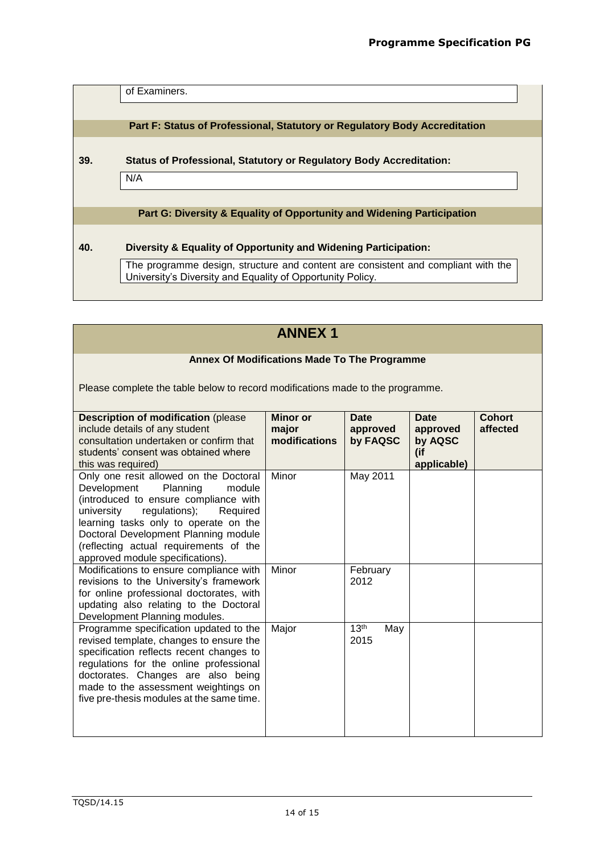of Examiners.

**Part F: Status of Professional, Statutory or Regulatory Body Accreditation**

**39. Status of Professional, Statutory or Regulatory Body Accreditation:**

N/A

# **Part G: Diversity & Equality of Opportunity and Widening Participation**

# **40. Diversity & Equality of Opportunity and Widening Participation:**

The programme design, structure and content are consistent and compliant with the University's Diversity and Equality of Opportunity Policy.

| <b>ANNEX 1</b>                                                                                                                                                                                                                                                                                                                 |                                           |                                     |                                                          |                           |  |  |
|--------------------------------------------------------------------------------------------------------------------------------------------------------------------------------------------------------------------------------------------------------------------------------------------------------------------------------|-------------------------------------------|-------------------------------------|----------------------------------------------------------|---------------------------|--|--|
| <b>Annex Of Modifications Made To The Programme</b>                                                                                                                                                                                                                                                                            |                                           |                                     |                                                          |                           |  |  |
| Please complete the table below to record modifications made to the programme.                                                                                                                                                                                                                                                 |                                           |                                     |                                                          |                           |  |  |
| <b>Description of modification (please)</b><br>include details of any student<br>consultation undertaken or confirm that<br>students' consent was obtained where<br>this was required)                                                                                                                                         | <b>Minor</b> or<br>major<br>modifications | <b>Date</b><br>approved<br>by FAQSC | <b>Date</b><br>approved<br>by AQSC<br>(if<br>applicable) | <b>Cohort</b><br>affected |  |  |
| Only one resit allowed on the Doctoral<br>Development<br>Planning<br>module<br>(introduced to ensure compliance with<br>regulations);<br>university<br>Required<br>learning tasks only to operate on the<br>Doctoral Development Planning module<br>(reflecting actual requirements of the<br>approved module specifications). | Minor                                     | May 2011                            |                                                          |                           |  |  |
| Modifications to ensure compliance with<br>revisions to the University's framework<br>for online professional doctorates, with<br>updating also relating to the Doctoral<br>Development Planning modules.                                                                                                                      | Minor                                     | February<br>2012                    |                                                          |                           |  |  |
| Programme specification updated to the<br>revised template, changes to ensure the<br>specification reflects recent changes to<br>regulations for the online professional<br>doctorates. Changes are also being<br>made to the assessment weightings on<br>five pre-thesis modules at the same time.                            | Major                                     | 13 <sup>th</sup><br>May<br>2015     |                                                          |                           |  |  |